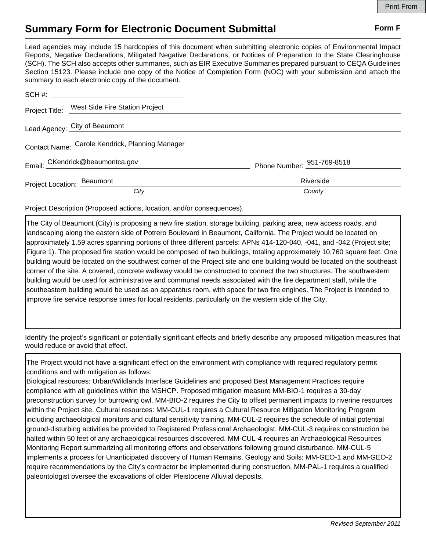## **Summary Form for Electronic Document Submittal Form F Form F**

Lead agencies may include 15 hardcopies of this document when submitting electronic copies of Environmental Impact Reports, Negative Declarations, Mitigated Negative Declarations, or Notices of Preparation to the State Clearinghouse (SCH). The SCH also accepts other summaries, such as EIR Executive Summaries prepared pursuant to CEQA Guidelines Section 15123. Please include one copy of the Notice of Completion Form (NOC) with your submission and attach the summary to each electronic copy of the document.

|                                                 | Project Title: West Side Fire Station Project |                            |
|-------------------------------------------------|-----------------------------------------------|----------------------------|
| Lead Agency: City of Beaumont                   |                                               |                            |
| Contact Name: Carole Kendrick, Planning Manager |                                               |                            |
|                                                 | Email: CKendrick@beaumontca.gov               | Phone Number: 951-769-8518 |
|                                                 | Project Location: Beaumont                    | Riverside                  |
|                                                 | City                                          | County                     |

Project Description (Proposed actions, location, and/or consequences).

The City of Beaumont (City) is proposing a new fire station, storage building, parking area, new access roads, and landscaping along the eastern side of Potrero Boulevard in Beaumont, California. The Project would be located on approximately 1.59 acres spanning portions of three different parcels: APNs 414-120-040, -041, and -042 (Project site; Figure 1). The proposed fire station would be composed of two buildings, totaling approximately 10,760 square feet. One building would be located on the southwest corner of the Project site and one building would be located on the southeast corner of the site. A covered, concrete walkway would be constructed to connect the two structures. The southwestern building would be used for administrative and communal needs associated with the fire department staff, while the southeastern building would be used as an apparatus room, with space for two fire engines. The Project is intended to improve fire service response times for local residents, particularly on the western side of the City.

Identify the project's significant or potentially significant effects and briefly describe any proposed mitigation measures that would reduce or avoid that effect.

The Project would not have a significant effect on the environment with compliance with required regulatory permit conditions and with mitigation as follows:

Biological resources: Urban/Wildlands Interface Guidelines and proposed Best Management Practices require compliance with all guidelines within the MSHCP. Proposed mitigation measure MM-BIO-1 requires a 30-day preconstruction survey for burrowing owl. MM-BIO-2 requires the City to offset permanent impacts to riverine resources within the Project site. Cultural resources: MM-CUL-1 requires a Cultural Resource Mitigation Monitoring Program including archaeological monitors and cultural sensitivity training. MM-CUL-2 requires the schedule of initial potential ground-disturbing activities be provided to Registered Professional Archaeologist. MM-CUL-3 requires construction be halted within 50 feet of any archaeological resources discovered. MM-CUL-4 requires an Archaeological Resources Monitoring Report summarizing all monitoring efforts and observations following ground disturbance. MM-CUL-5 implements a process for Unanticipated discovery of Human Remains. Geology and Soils: MM-GEO-1 and MM-GEO-2 require recommendations by the City's contractor be implemented during construction. MM-PAL-1 requires a qualified paleontologist oversee the excavations of older Pleistocene Alluvial deposits.